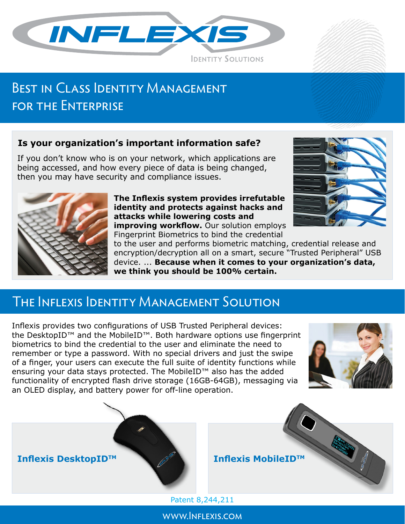

# BEST IN CLASS IDENTITY MANAGEMENT FOR THE ENTERPRISE

### **Is your organization's important information safe?**

If you don't know who is on your network, which applications are being accessed, and how every piece of data is being changed, then you may have security and compliance issues.



### **The Inflexis system provides irrefutable identity and protects against hacks and attacks while lowering costs and improving workflow.** Our solution employs



Fingerprint Biometrics to bind the credential

to the user and performs biometric matching, credential release and encryption/decryption all on a smart, secure "Trusted Peripheral" USB device. ... **Because when it comes to your organization's data, we think you should be 100% certain.**

## The Inflexis Identity Management Solution

Inflexis provides two configurations of USB Trusted Peripheral devices: the DesktopID™ and the MobileID™. Both hardware options use fingerprint biometrics to bind the credential to the user and eliminate the need to remember or type a password. With no special drivers and just the swipe of a finger, your users can execute the full suite of identity functions while ensuring your data stays protected. The MobileID™ also has the added functionality of encrypted flash drive storage (16GB-64GB), messaging via an OLED display, and battery power for off-line operation.





Patent 8,244,211

www.Inflexis.com